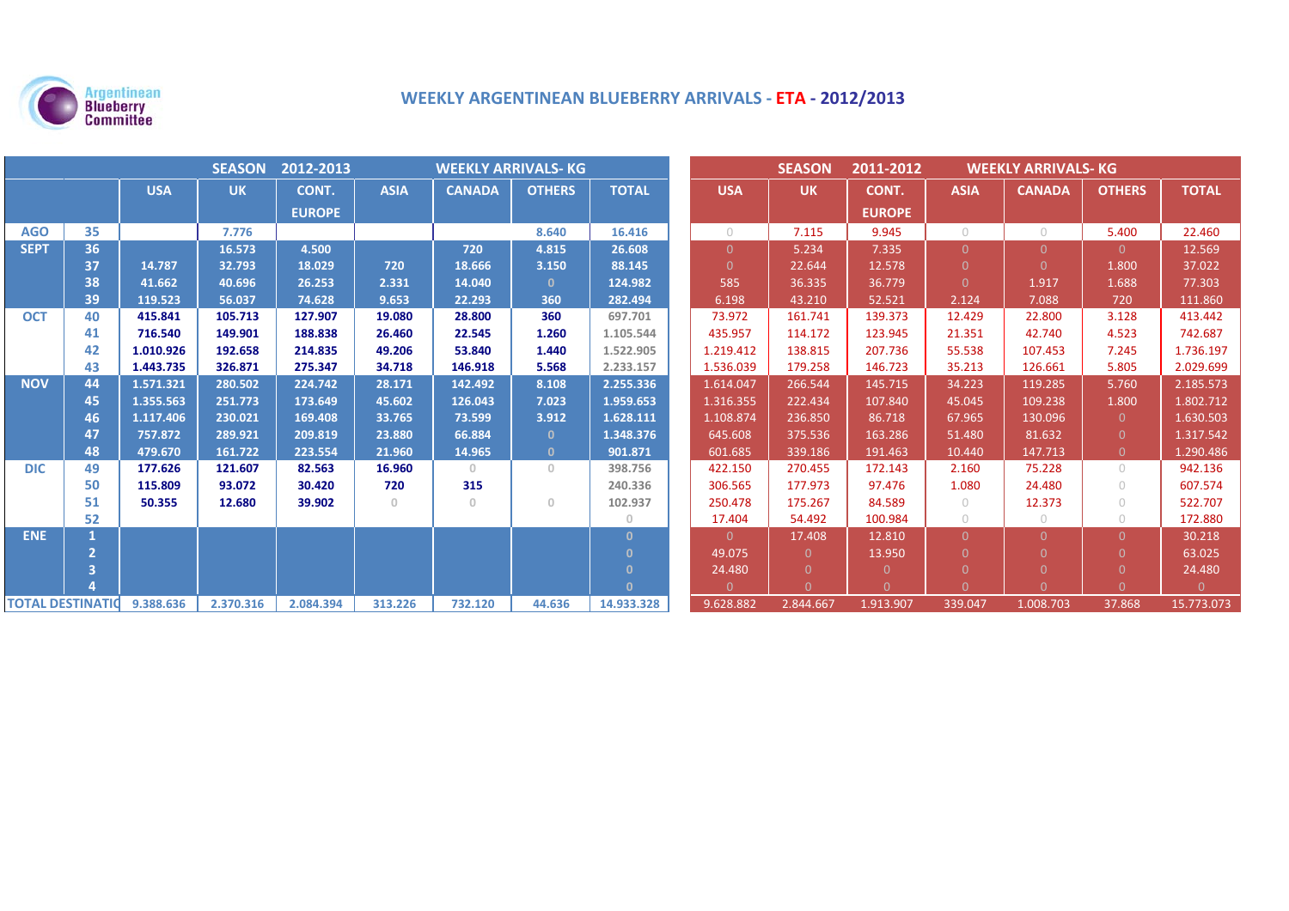

# **WEEKLY ARGENTINEAN BLUEBERRY ARRIVALS ‐ ETA ‐ 2012/2013**

|                         | <b>SEASON</b><br>2012-2013<br><b>WEEKLY ARRIVALS- KG</b> |            |           |               |             |               |               | <b>SEASON</b><br>2011-2012<br><b>WEEKLY ARRIVALS- KG</b> |            |                |               |             |               |                |              |
|-------------------------|----------------------------------------------------------|------------|-----------|---------------|-------------|---------------|---------------|----------------------------------------------------------|------------|----------------|---------------|-------------|---------------|----------------|--------------|
|                         |                                                          | <b>USA</b> | <b>UK</b> | CONT.         | <b>ASIA</b> | <b>CANADA</b> | <b>OTHERS</b> | <b>TOTAL</b>                                             | <b>USA</b> | <b>UK</b>      | CONT.         | <b>ASIA</b> | <b>CANADA</b> | <b>OTHERS</b>  | <b>TOTAL</b> |
|                         |                                                          |            |           | <b>EUROPE</b> |             |               |               |                                                          |            |                | <b>EUROPE</b> |             |               |                |              |
| <b>AGO</b>              | 35                                                       |            | 7.776     |               |             |               | 8.640         | 16.416                                                   | $\bigcirc$ | 7.115          | 9.945         | $\bigcirc$  | $\circ$       | 5.400          | 22.460       |
| <b>SEPT</b>             | 36                                                       |            | 16.573    | 4.500         |             | 720           | 4.815         | 26.608                                                   | $\Omega$   | 5.234          | 7.335         | $\Omega$    | $\Omega$      | $\Omega$       | 12.569       |
|                         | 37                                                       | 14.787     | 32.793    | 18.029        | 720         | 18.666        | 3.150         | 88.145                                                   | $\Omega$   | 22.644         | 12.578        | $\Omega$    | $\Omega$      | 1.800          | 37.022       |
|                         | 38                                                       | 41.662     | 40.696    | 26.253        | 2.331       | 14.040        | $\mathbf{0}$  | 124.982                                                  | 585        | 36.335         | 36.779        | $\Omega$    | 1.917         | 1.688          | 77.303       |
|                         | 39                                                       | 119.523    | 56.037    | 74.628        | 9.653       | 22.293        | 360           | 282.494                                                  | 6.198      | 43.210         | 52.521        | 2.124       | 7.088         | 720            | 111.860      |
| <b>OCT</b>              | 40                                                       | 415.841    | 105.713   | 127.907       | 19.080      | 28.800        | 360           | 697.701                                                  | 73.972     | 161.741        | 139.373       | 12.429      | 22.800        | 3.128          | 413.442      |
|                         | 41                                                       | 716.540    | 149.901   | 188.838       | 26.460      | 22.545        | 1.260         | 1.105.544                                                | 435.957    | 114.172        | 123.945       | 21.351      | 42.740        | 4.523          | 742.687      |
|                         | 42                                                       | 1.010.926  | 192.658   | 214.835       | 49.206      | 53.840        | 1.440         | 1.522.905                                                | 1.219.412  | 138.815        | 207.736       | 55.538      | 107.453       | 7.245          | 1.736.197    |
|                         | 43                                                       | 1.443.735  | 326.871   | 275.347       | 34.718      | 146.918       | 5.568         | 2.233.157                                                | 1.536.039  | 179.258        | 146.723       | 35.213      | 126.661       | 5.805          | 2.029.699    |
| <b>NOV</b>              | 44                                                       | 1.571.321  | 280.502   | 224.742       | 28.171      | 142.492       | 8.108         | 2.255.336                                                | 1.614.047  | 266.544        | 145.715       | 34.223      | 119.285       | 5.760          | 2.185.573    |
|                         | 45                                                       | 1.355.563  | 251.773   | 173.649       | 45.602      | 126.043       | 7.023         | 1.959.653                                                | 1.316.355  | 222.434        | 107.840       | 45.045      | 109.238       | 1.800          | 1.802.712    |
|                         | 46                                                       | 1.117.406  | 230.021   | 169.408       | 33.765      | 73.599        | 3.912         | 1.628.111                                                | 1.108.874  | 236.850        | 86.718        | 67.965      | 130.096       | $\overline{0}$ | 1.630.503    |
|                         | 47                                                       | 757.872    | 289.921   | 209.819       | 23.880      | 66.884        | $\mathbf{0}$  | 1.348.376                                                | 645.608    | 375.536        | 163.286       | 51.480      | 81.632        | $\Omega$       | 1.317.542    |
|                         | 48                                                       | 479.670    | 161.722   | 223.554       | 21.960      | 14.965        | $\mathbf{0}$  | 901.871                                                  | 601.685    | 339.186        | 191.463       | 10.440      | 147.713       | $\overline{0}$ | 1.290.486    |
| <b>DIC</b>              | 49                                                       | 177.626    | 121.607   | 82.563        | 16.960      | $\circ$       | $\Omega$      | 398.756                                                  | 422.150    | 270.455        | 172.143       | 2.160       | 75.228        | $\bigcirc$     | 942.136      |
|                         | 50                                                       | 115.809    | 93.072    | 30.420        | 720         | 315           |               | 240.336                                                  | 306.565    | 177.973        | 97.476        | 1.080       | 24.480        | $\bigcirc$     | 607.574      |
|                         | 51                                                       | 50.355     | 12.680    | 39.902        | $\circ$     | $\circ$       | $\Omega$      | 102.937                                                  | 250.478    | 175.267        | 84.589        | $\circ$     | 12.373        | $\bigcap$      | 522.707      |
|                         | 52                                                       |            |           |               |             |               |               | $\Omega$                                                 | 17.404     | 54.492         | 100.984       | $\bigcirc$  | $\circ$       | $\bigcirc$     | 172.880      |
| <b>ENE</b>              |                                                          |            |           |               |             |               |               | $\Omega$                                                 | $\Omega$   | 17.408         | 12.810        | $\Omega$    | $\Omega$      | $\Omega$       | 30.218       |
|                         |                                                          |            |           |               |             |               |               | $\Omega$                                                 | 49.075     | $\overline{0}$ | 13.950        | $\Omega$    |               | $\Omega$       | 63.025       |
|                         | Β                                                        |            |           |               |             |               |               | $\Omega$                                                 | 24.480     | $\Omega$       | $\Omega$      |             |               |                | 24.480       |
|                         |                                                          |            |           |               |             |               |               | $\Omega$                                                 | $\Omega$   | $\Omega$       | $\Omega$      | $\Omega$    |               | $\Omega$       | $\Omega$     |
| <b>TOTAL DESTINATIO</b> |                                                          | 9.388.636  | 2.370.316 | 2.084.394     | 313.226     | 732.120       | 44.636        | 14.933.328                                               | 9.628.882  | 2.844.667      | 1.913.907     | 339.047     | 1.008.703     | 37.868         | 15.773.073   |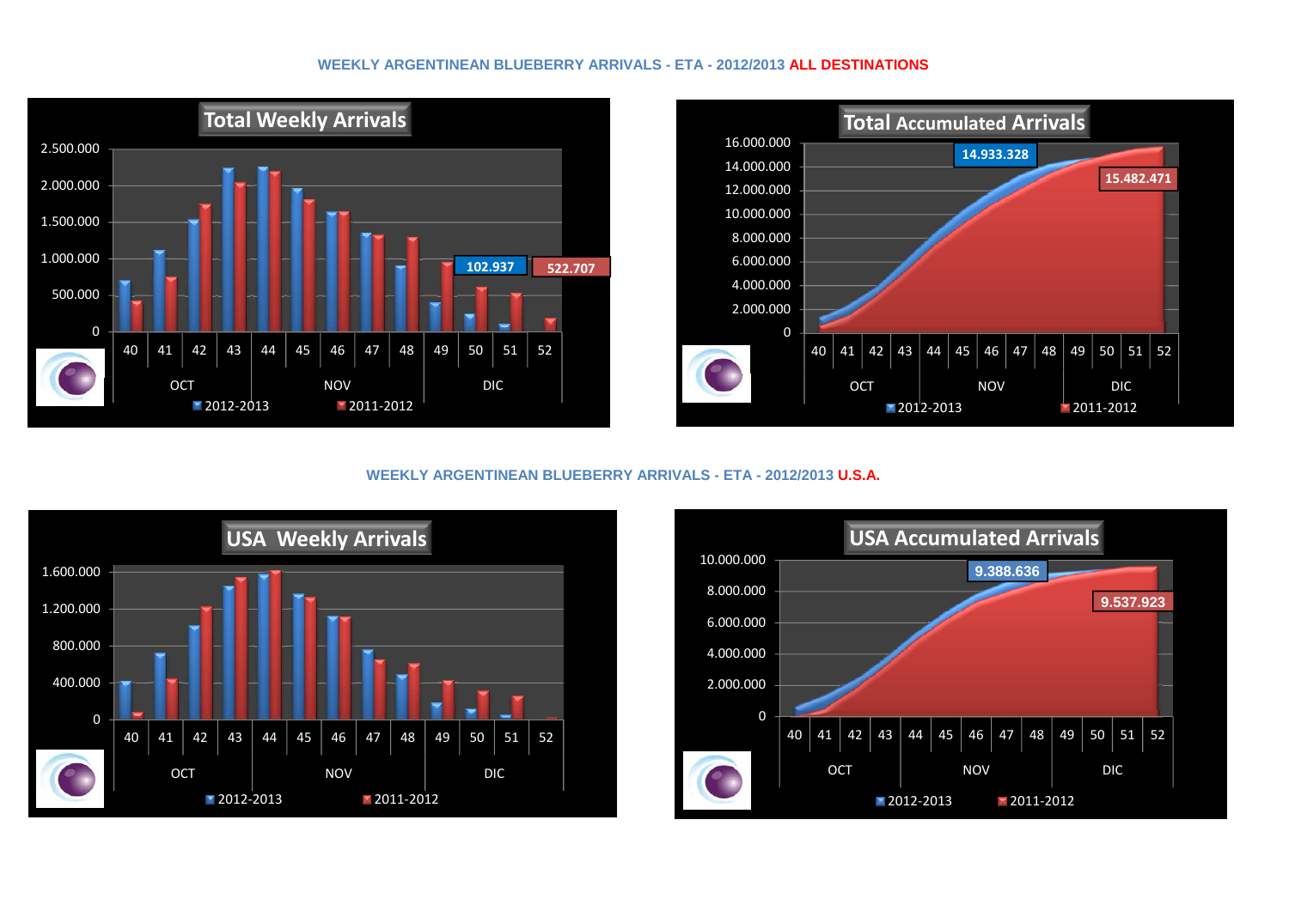### **WEEKLY ARGENTINEAN BLUEBERRY ARRIVALS - ETA - 2012/2013 ALL DESTINATIONS**





# **WEEKLY ARGENTINEAN BLUEBERRY ARRIVALS - ETA - 2012/2013 U.S.A.**



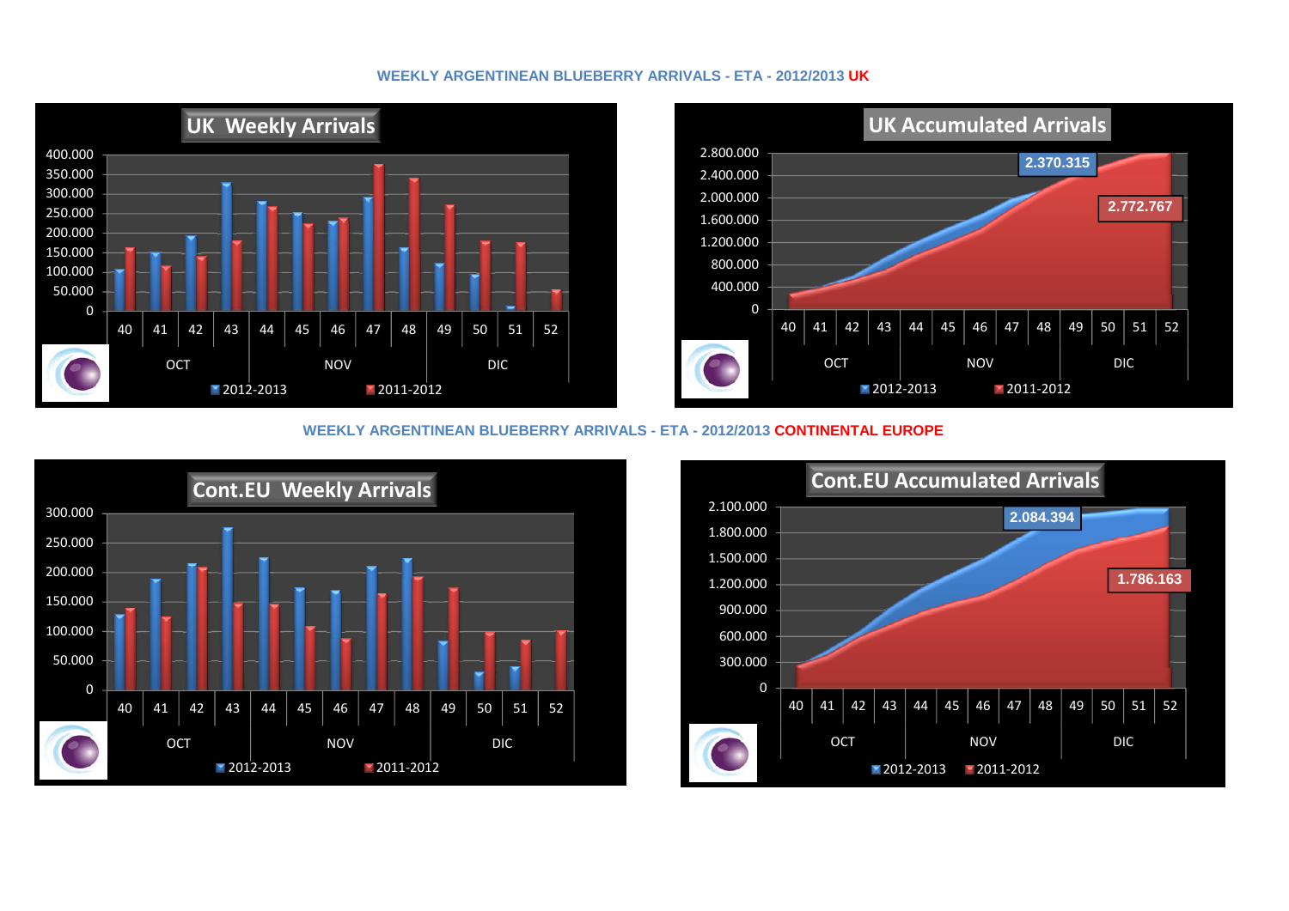# **WEEKLY ARGENTINEAN BLUEBERRY ARRIVALS - ETA - 2012/2013 UK**





# **WEEKLY ARGENTINEAN BLUEBERRY ARRIVALS - ETA - 2012/2013 CONTINENTAL EUROPE**